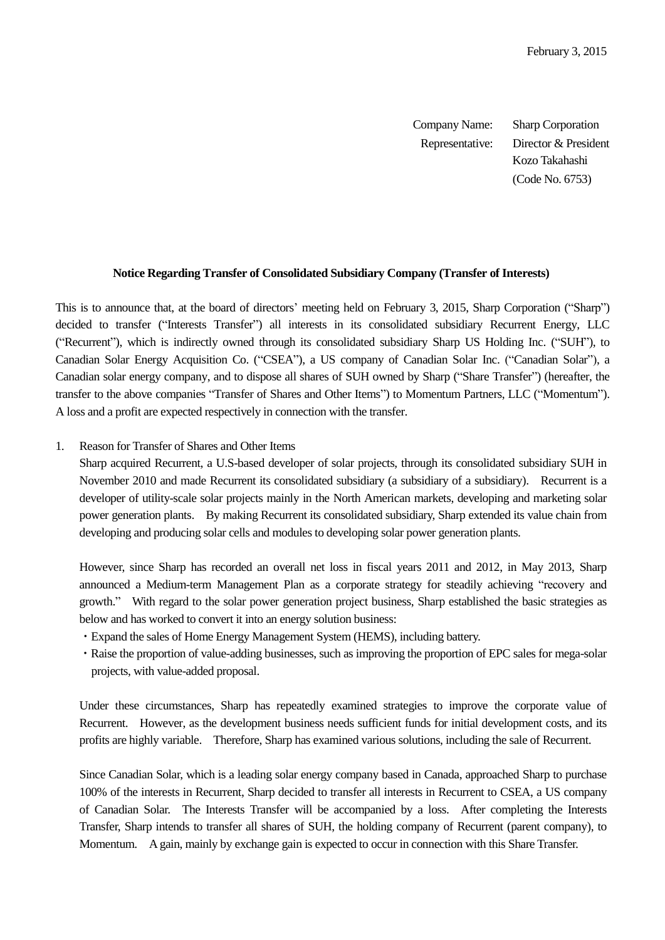Company Name: Sharp Corporation Representative: Director & President Kozo Takahashi (Code No. 6753)

### **Notice Regarding Transfer of Consolidated Subsidiary Company (Transfer of Interests)**

This is to announce that, at the board of directors' meeting held on February 3, 2015, Sharp Corporation ("Sharp") decided to transfer ("Interests Transfer") all interests in its consolidated subsidiary Recurrent Energy, LLC ("Recurrent"), which is indirectly owned through its consolidated subsidiary Sharp US Holding Inc. ("SUH"), to Canadian Solar Energy Acquisition Co. ("CSEA"), a US company of Canadian Solar Inc. ("Canadian Solar"), a Canadian solar energy company, and to dispose all shares of SUH owned by Sharp ("Share Transfer") (hereafter, the transfer to the above companies "Transfer of Shares and Other Items") to Momentum Partners, LLC ("Momentum"). A loss and a profit are expected respectively in connection with the transfer.

# 1. Reason for Transfer of Shares and Other Items

Sharp acquired Recurrent, a U.S-based developer of solar projects, through its consolidated subsidiary SUH in November 2010 and made Recurrent its consolidated subsidiary (a subsidiary of a subsidiary). Recurrent is a developer of utility-scale solar projects mainly in the North American markets, developing and marketing solar power generation plants. By making Recurrent its consolidated subsidiary, Sharp extended its value chain from developing and producing solar cells and modules to developing solar power generation plants.

However, since Sharp has recorded an overall net loss in fiscal years 2011 and 2012, in May 2013, Sharp announced a Medium-term Management Plan as a corporate strategy for steadily achieving "recovery and growth." With regard to the solar power generation project business, Sharp established the basic strategies as below and has worked to convert it into an energy solution business:

- ・Expand the sales of Home Energy Management System (HEMS), including battery.
- ・Raise the proportion of value-adding businesses, such as improving the proportion of EPC sales for mega-solar projects, with value-added proposal.

Under these circumstances, Sharp has repeatedly examined strategies to improve the corporate value of Recurrent. However, as the development business needs sufficient funds for initial development costs, and its profits are highly variable. Therefore, Sharp has examined various solutions, including the sale of Recurrent.

Since Canadian Solar, which is a leading solar energy company based in Canada, approached Sharp to purchase 100% of the interests in Recurrent, Sharp decided to transfer all interests in Recurrent to CSEA, a US company of Canadian Solar. The Interests Transfer will be accompanied by a loss. After completing the Interests Transfer, Sharp intends to transfer all shares of SUH, the holding company of Recurrent (parent company), to Momentum. A gain, mainly by exchange gain is expected to occur in connection with this Share Transfer.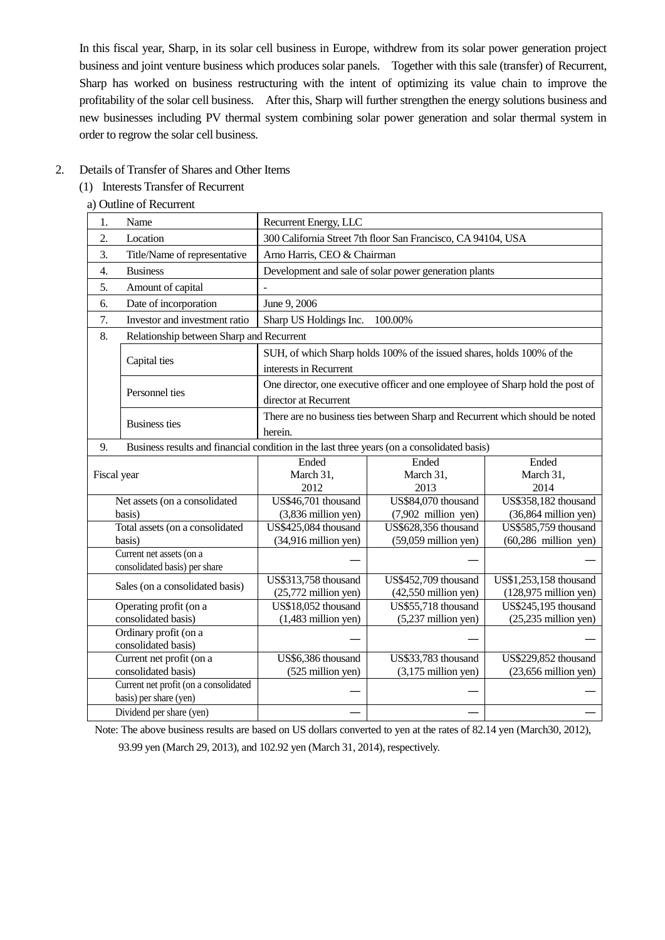In this fiscal year, Sharp, in its solar cell business in Europe, withdrew from its solar power generation project business and joint venture business which produces solar panels. Together with this sale (transfer) of Recurrent, Sharp has worked on business restructuring with the intent of optimizing its value chain to improve the profitability of the solar cell business. After this, Sharp will further strengthen the energy solutions business and new businesses including PV thermal system combining solar power generation and solar thermal system in order to regrow the solar cell business.

## 2. Details of Transfer of Shares and Other Items

## (1) Interests Transfer of Recurrent

### a) Outline of Recurrent

| 1.          | Name                                                                                       | Recurrent Energy, LLC          |                                                                                |                             |
|-------------|--------------------------------------------------------------------------------------------|--------------------------------|--------------------------------------------------------------------------------|-----------------------------|
| 2.          | Location                                                                                   |                                | 300 California Street 7th floor San Francisco, CA 94104, USA                   |                             |
| 3.          | Title/Name of representative                                                               | Arno Harris, CEO & Chairman    |                                                                                |                             |
| 4.          | <b>Business</b>                                                                            |                                | Development and sale of solar power generation plants                          |                             |
| 5.          | Amount of capital                                                                          |                                |                                                                                |                             |
| 6.          | Date of incorporation                                                                      | June 9, 2006                   |                                                                                |                             |
| 7.          | Investor and investment ratio                                                              | Sharp US Holdings Inc.         | 100.00%                                                                        |                             |
| 8.          | Relationship between Sharp and Recurrent                                                   |                                |                                                                                |                             |
|             |                                                                                            |                                | SUH, of which Sharp holds 100% of the issued shares, holds 100% of the         |                             |
|             | Capital ties                                                                               | interests in Recurrent         |                                                                                |                             |
|             |                                                                                            |                                | One director, one executive officer and one employee of Sharp hold the post of |                             |
|             | Personnel ties                                                                             | director at Recurrent          |                                                                                |                             |
|             |                                                                                            |                                | There are no business ties between Sharp and Recurrent which should be noted   |                             |
|             | <b>Business ties</b>                                                                       | herein.                        |                                                                                |                             |
| 9.          | Business results and financial condition in the last three years (on a consolidated basis) |                                |                                                                                |                             |
|             |                                                                                            | Ended                          | Ended                                                                          | Ended                       |
| Fiscal year |                                                                                            | March 31,                      | March 31,                                                                      | March 31,                   |
|             |                                                                                            | 2012                           | 2013                                                                           | 2014                        |
|             | Net assets (on a consolidated                                                              | US\$46,701 thousand            | US\$84,070 thousand                                                            | <b>US\$358,182</b> thousand |
|             | basis)                                                                                     | $(3,836$ million yen)          | $(7,902$ million yen)                                                          | $(36,864$ million yen)      |
|             | Total assets (on a consolidated                                                            | US\$425,084 thousand           | US\$628,356 thousand                                                           | <b>US\$585,759</b> thousand |
|             | basis)                                                                                     | $(34,916 \text{ million yen})$ | $(59,059$ million yen)                                                         | $(60, 286$ million yen)     |
|             | Current net assets (on a                                                                   |                                |                                                                                |                             |
|             | consolidated basis) per share                                                              |                                |                                                                                |                             |
|             | Sales (on a consolidated basis)                                                            | US\$313,758 thousand           | US\$452,709 thousand                                                           | US\$1,253,158 thousand      |
|             |                                                                                            | $(25,772$ million yen)         | $(42,550$ million yen)                                                         | $(128,975$ million yen)     |
|             | Operating profit (on a                                                                     | US\$18,052 thousand            | US\$55,718 thousand                                                            | US\$245,195 thousand        |
|             | consolidated basis)<br>Ordinary profit (on a                                               | $(1,483$ million yen)          | $(5,237$ million yen)                                                          | $(25,235)$ million yen)     |
|             | consolidated basis)                                                                        |                                |                                                                                |                             |
|             | Current net profit (on a                                                                   | US\$6,386 thousand             | US\$33,783 thousand                                                            | US\$229,852 thousand        |
|             | consolidated basis)                                                                        | (525 million yen)              | $(3,175$ million yen)                                                          | $(23,656$ million yen)      |
|             | Current net profit (on a consolidated                                                      |                                |                                                                                |                             |
|             | basis) per share (yen)                                                                     |                                |                                                                                |                             |
|             | Dividend per share (yen)                                                                   |                                |                                                                                |                             |
|             |                                                                                            |                                |                                                                                |                             |

Note: The above business results are based on US dollars converted to yen at the rates of 82.14 yen (March30, 2012),

93.99 yen (March 29, 2013), and 102.92 yen (March 31, 2014), respectively.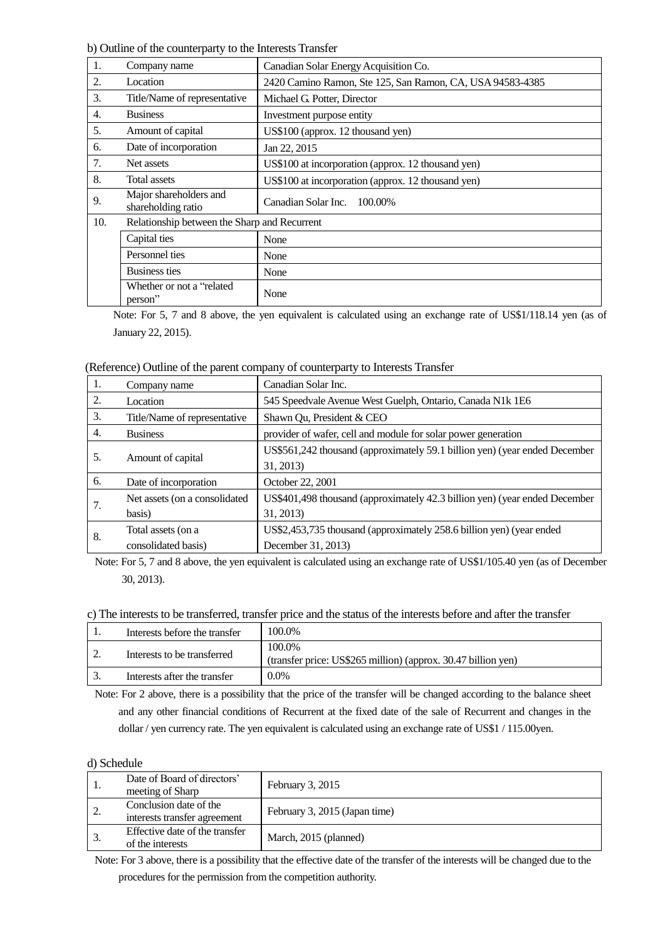b) Outline of the counterparty to the Interests Transfer

| 1.  | Company name                                 | Canadian Solar Energy Acquisition Co.                     |  |
|-----|----------------------------------------------|-----------------------------------------------------------|--|
| 2.  | Location                                     | 2420 Camino Ramon, Ste 125, San Ramon, CA, USA 94583-4385 |  |
| 3.  | Title/Name of representative                 | Michael G. Potter, Director                               |  |
| 4.  | <b>Business</b>                              | Investment purpose entity                                 |  |
| 5.  | Amount of capital                            | US\$100 (approx. 12 thousand yen)                         |  |
| 6.  | Date of incorporation                        | Jan 22, 2015                                              |  |
| 7.  | Net assets                                   | US\$100 at incorporation (approx. 12 thousand yen)        |  |
| 8.  | <b>Total assets</b>                          | US\$100 at incorporation (approx. 12 thousand yen)        |  |
| 9.  | Major shareholders and<br>shareholding ratio | Canadian Solar Inc. 100.00%                               |  |
| 10. | Relationship between the Sharp and Recurrent |                                                           |  |
|     | Capital ties                                 | None                                                      |  |
|     | Personnel ties                               | None                                                      |  |
|     | <b>Business ties</b>                         | None                                                      |  |
|     | Whether or not a "related"<br>person"        | None                                                      |  |

Note: For 5, 7 and 8 above, the yen equivalent is calculated using an exchange rate of US\$1/118.14 yen (as of January 22, 2015).

(Reference) Outline of the parent company of counterparty to Interests Transfer

| 1. | Company name                  | Canadian Solar Inc.                                                        |
|----|-------------------------------|----------------------------------------------------------------------------|
| 2. | Location                      | 545 Speedvale Avenue West Guelph, Ontario, Canada N1k 1E6                  |
| 3. | Title/Name of representative  | Shawn Qu, President & CEO                                                  |
| 4. | <b>Business</b>               | provider of wafer, cell and module for solar power generation              |
| 5. | Amount of capital             | US\$561,242 thousand (approximately 59.1 billion yen) (year ended December |
|    |                               | 31, 2013)                                                                  |
| 6. | Date of incorporation         | October 22, 2001                                                           |
| 7. | Net assets (on a consolidated | US\$401,498 thousand (approximately 42.3 billion yen) (year ended December |
|    | basis)                        | 31, 2013)                                                                  |
| 8. | Total assets (on a            | US\$2,453,735 thousand (approximately 258.6 billion yen) (year ended       |
|    | consolidated basis)           | December 31, 2013)                                                         |

Note: For 5, 7 and 8 above, the yen equivalent is calculated using an exchange rate of US\$1/105.40 yen (as of December 30, 2013).

#### c) The interests to be transferred, transfer price and the status of the interests before and after the transfer

| Interests before the transfer | 100.0%                                                                  |
|-------------------------------|-------------------------------------------------------------------------|
| Interests to be transferred   | 100.0%<br>(transfer price: US\$265 million) (approx. 30.47 billion yen) |
| Interests after the transfer  | 0.0%                                                                    |

Note: For 2 above, there is a possibility that the price of the transfer will be changed according to the balance sheet and any other financial conditions of Recurrent at the fixed date of the sale of Recurrent and changes in the dollar / yen currency rate. The yen equivalent is calculated using an exchange rate of US\$1 / 115.00yen.

#### d) Schedule

|    | Date of Board of directors'<br>meeting of Sharp        | February 3, 2015              |
|----|--------------------------------------------------------|-------------------------------|
| ٠. | Conclusion date of the<br>interests transfer agreement | February 3, 2015 (Japan time) |
|    | Effective date of the transfer<br>of the interests     | March, 2015 (planned)         |

Note: For 3 above, there is a possibility that the effective date of the transfer of the interests will be changed due to the procedures for the permission from the competition authority.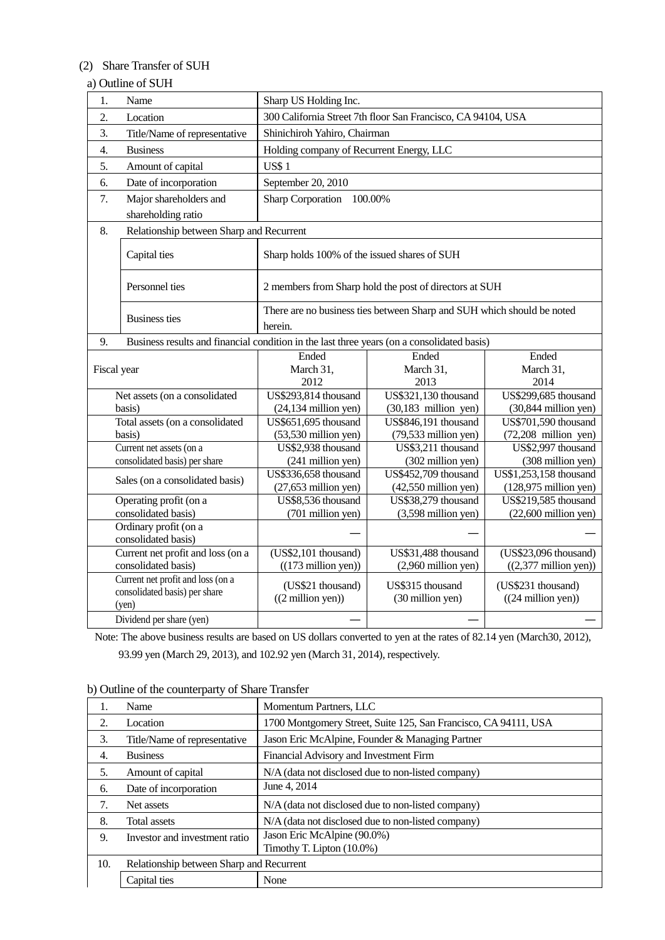## (2) Share Transfer of SUH

## a) Outline of SUH

| 1.          | Name                                                                                       | Sharp US Holding Inc.                        |                                                                        |                                 |
|-------------|--------------------------------------------------------------------------------------------|----------------------------------------------|------------------------------------------------------------------------|---------------------------------|
| 2.          | Location                                                                                   |                                              | 300 California Street 7th floor San Francisco, CA 94104, USA           |                                 |
| 3.          | Title/Name of representative                                                               | Shinichiroh Yahiro, Chairman                 |                                                                        |                                 |
| 4.          | <b>Business</b>                                                                            | Holding company of Recurrent Energy, LLC     |                                                                        |                                 |
| 5.          | Amount of capital                                                                          | <b>US\$1</b>                                 |                                                                        |                                 |
| 6.          | Date of incorporation                                                                      | September 20, 2010                           |                                                                        |                                 |
| 7.          | Major shareholders and                                                                     | <b>Sharp Corporation</b>                     | 100.00%                                                                |                                 |
|             | shareholding ratio                                                                         |                                              |                                                                        |                                 |
| 8.          | Relationship between Sharp and Recurrent                                                   |                                              |                                                                        |                                 |
|             |                                                                                            |                                              |                                                                        |                                 |
|             | Capital ties                                                                               | Sharp holds 100% of the issued shares of SUH |                                                                        |                                 |
|             | Personnel ties                                                                             |                                              | 2 members from Sharp hold the post of directors at SUH                 |                                 |
|             |                                                                                            |                                              |                                                                        |                                 |
|             | <b>Business ties</b>                                                                       |                                              | There are no business ties between Sharp and SUH which should be noted |                                 |
|             |                                                                                            | herein.                                      |                                                                        |                                 |
| 9.          | Business results and financial condition in the last three years (on a consolidated basis) |                                              |                                                                        |                                 |
|             |                                                                                            | Ended                                        | Ended                                                                  | Ended                           |
| Fiscal year |                                                                                            | March 31,                                    | March 31,                                                              | March 31,                       |
|             |                                                                                            | 2012                                         | 2013                                                                   | 2014                            |
|             | Net assets (on a consolidated                                                              | US\$293,814 thousand                         | <b>US\$321,130</b> thousand                                            | <b>US\$299,685</b> thousand     |
|             | basis)                                                                                     | $(24, 134$ million yen)                      | $(30,183$ million yen)                                                 | $(30,844$ million yen)          |
|             | Total assets (on a consolidated                                                            | US\$651,695 thousand                         | US\$846,191 thousand                                                   | US\$701,590 thousand            |
|             | basis)                                                                                     | $(53,530$ million yen)                       | $(79,533$ million yen)                                                 | $(72,208$ million yen)          |
|             | Current net assets (on a                                                                   | US\$2,938 thousand                           | US\$3,211 thousand                                                     | US\$2,997 thousand              |
|             | consolidated basis) per share                                                              | (241 million yen)                            | (302 million yen)                                                      | (308 million yen)               |
|             | Sales (on a consolidated basis)                                                            | US\$336,658 thousand                         | US\$452,709 thousand                                                   | US\$1,253,158 thousand          |
|             |                                                                                            | $(27, 653$ million yen)                      | $(42,550$ million yen)                                                 | $(128,975$ million yen)         |
|             | Operating profit (on a                                                                     | US\$8,536 thousand                           | US\$38,279 thousand                                                    | US\$219,585 thousand            |
|             | consolidated basis)                                                                        | (701 million yen)                            | $(3,598$ million yen)                                                  | $(22,600$ million yen)          |
|             | Ordinary profit (on a                                                                      |                                              |                                                                        |                                 |
|             | consolidated basis)                                                                        |                                              |                                                                        |                                 |
|             | Current net profit and loss (on a                                                          | (US\$2,101 thousand)                         | US\$31,488 thousand                                                    | (US\$23,096 thousand)           |
|             | consolidated basis)                                                                        | $((173 \text{ million yen}))$                | $(2,960$ million yen)                                                  | $((2,377 \text{ million yen}))$ |
|             | Current net profit and loss (on a                                                          | (US\$21 thousand)                            | US\$315 thousand                                                       | (US\$231 thousand)              |
|             | consolidated basis) per share                                                              | $((2 \text{ million yen}))$                  | (30 million yen)                                                       | $((24 \text{ million yen}))$    |
|             | (yen)                                                                                      |                                              |                                                                        |                                 |
|             | Dividend per share (yen)                                                                   |                                              |                                                                        |                                 |

Note: The above business results are based on US dollars converted to yen at the rates of 82.14 yen (March30, 2012), 93.99 yen (March 29, 2013), and 102.92 yen (March 31, 2014), respectively.

| Ι.  | Name                                     | Momentum Partners, LLC                                          |
|-----|------------------------------------------|-----------------------------------------------------------------|
| 2.  | Location                                 | 1700 Montgomery Street, Suite 125, San Francisco, CA 94111, USA |
| 3.  | Title/Name of representative             | Jason Eric McAlpine, Founder & Managing Partner                 |
| 4.  | <b>Business</b>                          | Financial Advisory and Investment Firm                          |
| 5.  | Amount of capital                        | N/A (data not disclosed due to non-listed company)              |
| 6.  | Date of incorporation                    | June 4, 2014                                                    |
| 7.  | Net assets                               | N/A (data not disclosed due to non-listed company)              |
| 8.  | <b>Total assets</b>                      | N/A (data not disclosed due to non-listed company)              |
| 9.  | Investor and investment ratio            | Jason Eric McAlpine (90.0%)<br>Timothy T. Lipton (10.0%)        |
| 10. | Relationship between Sharp and Recurrent |                                                                 |
|     | Capital ties                             | None                                                            |

b) Outline of the counterparty of Share Transfer